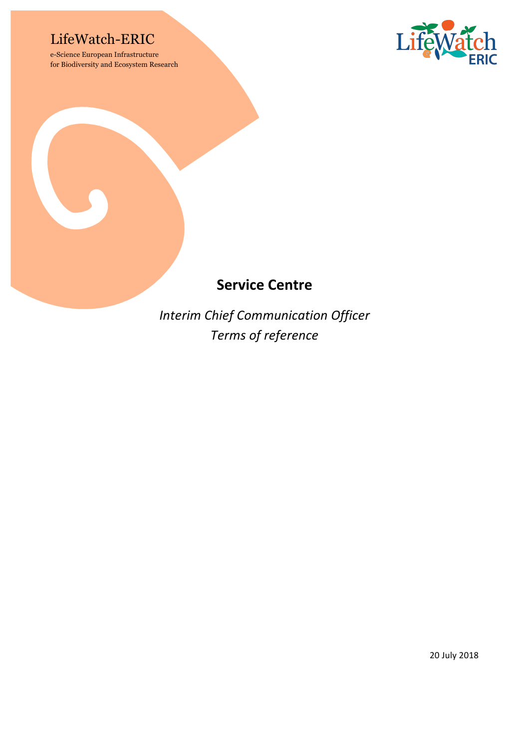## LifeWatch-ERIC

e-Science European Infrastructure for Biodiversity and Ecosystem Research



# **Service Centre**

**Interim Chief Communication Officer** *Terms of reference*

20 July 2018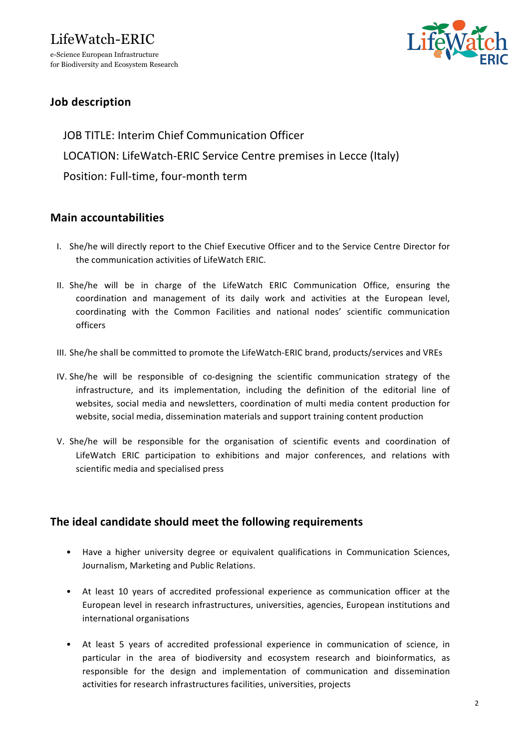# LifeWatch-ERIC e-Science European Infrastructure

for Biodiversity and Ecosystem Research



## **Job description**

JOB TITLE: Interim Chief Communication Officer LOCATION: LifeWatch-ERIC Service Centre premises in Lecce (Italy) Position: Full-time, four-month term

### **Main accountabilities**

- I. She/he will directly report to the Chief Executive Officer and to the Service Centre Director for the communication activities of LifeWatch ERIC.
- II. She/he will be in charge of the LifeWatch ERIC Communication Office, ensuring the coordination and management of its daily work and activities at the European level, coordinating with the Common Facilities and national nodes' scientific communication officers
- III. She/he shall be committed to promote the LifeWatch-ERIC brand, products/services and VREs
- IV. She/he will be responsible of co-designing the scientific communication strategy of the infrastructure, and its implementation, including the definition of the editorial line of websites, social media and newsletters, coordination of multi media content production for website, social media, dissemination materials and support training content production
- V. She/he will be responsible for the organisation of scientific events and coordination of LifeWatch ERIC participation to exhibitions and major conferences, and relations with scientific media and specialised press

#### **The ideal candidate should meet the following requirements**

- Have a higher university degree or equivalent qualifications in Communication Sciences, Journalism, Marketing and Public Relations.
- At least 10 years of accredited professional experience as communication officer at the European level in research infrastructures, universities, agencies, European institutions and international organisations
- At least 5 years of accredited professional experience in communication of science, in particular in the area of biodiversity and ecosystem research and bioinformatics, as responsible for the design and implementation of communication and dissemination activities for research infrastructures facilities, universities, projects